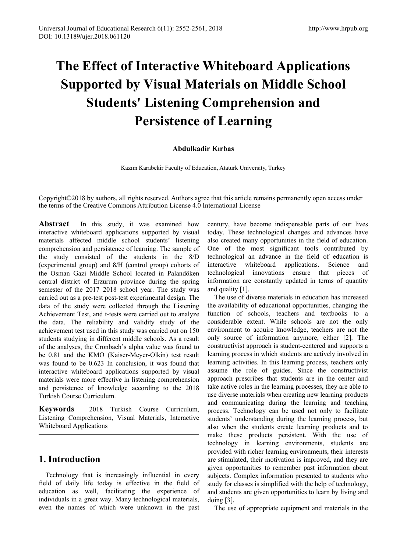# **The Effect of Interactive Whiteboard Applications Supported by Visual Materials on Middle School Students' Listening Comprehension and Persistence of Learning**

#### **Abdulkadir Kırbas**

Kazım Karabekir Faculty of Education, Ataturk University, Turkey

Copyright©2018 by authors, all rights reserved. Authors agree that this article remains permanently open access under the terms of the Creative Commons Attribution License 4.0 International License

**Abstract** In this study, it was examined how interactive whiteboard applications supported by visual materials affected middle school students' listening comprehension and persistence of learning. The sample of the study consisted of the students in the 8/D (experimental group) and 8/H (control group) cohorts of the Osman Gazi Middle School located in Palandöken central district of Erzurum province during the spring semester of the 2017–2018 school year. The study was carried out as a pre-test post-test experimental design. The data of the study were collected through the Listening Achievement Test, and t-tests were carried out to analyze the data. The reliability and validity study of the achievement test used in this study was carried out on 150 students studying in different middle schools. As a result of the analyses, the Cronbach's alpha value was found to be 0.81 and the KMO (Kaiser-Meyer-Olkin) test result was found to be 0.623 In conclusion, it was found that interactive whiteboard applications supported by visual materials were more effective in listening comprehension and persistence of knowledge according to the 2018 Turkish Course Curriculum.

**Keywords** 2018 Turkish Course Curriculum, Listening Comprehension, Visual Materials, Interactive Whiteboard Applications

## **1. Introduction**

Technology that is increasingly influential in every field of daily life today is effective in the field of education as well, facilitating the experience of individuals in a great way. Many technological materials, even the names of which were unknown in the past

century, have become indispensable parts of our lives today. These technological changes and advances have also created many opportunities in the field of education. One of the most significant tools contributed by technological an advance in the field of education is interactive whiteboard applications. Science and technological innovations ensure that pieces of information are constantly updated in terms of quantity and quality [1].

The use of diverse materials in education has increased the availability of educational opportunities, changing the function of schools, teachers and textbooks to a considerable extent. While schools are not the only environment to acquire knowledge, teachers are not the only source of information anymore, either [2]. The constructivist approach is student-centered and supports a learning process in which students are actively involved in learning activities. In this learning process, teachers only assume the role of guides. Since the constructivist approach prescribes that students are in the center and take active roles in the learning processes, they are able to use diverse materials when creating new learning products and communicating during the learning and teaching process. Technology can be used not only to facilitate students' understanding during the learning process, but also when the students create learning products and to make these products persistent. With the use of technology in learning environments, students are provided with richer learning environments, their interests are stimulated, their motivation is improved, and they are given opportunities to remember past information about subjects. Complex information presented to students who study for classes is simplified with the help of technology, and students are given opportunities to learn by living and doing [3].

The use of appropriate equipment and materials in the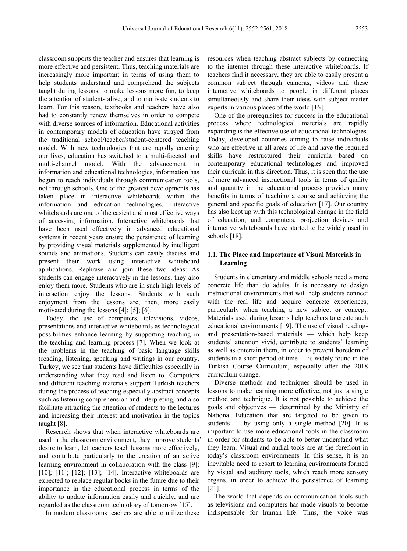classroom supports the teacher and ensures that learning is more effective and persistent. Thus, teaching materials are increasingly more important in terms of using them to help students understand and comprehend the subjects taught during lessons, to make lessons more fun, to keep the attention of students alive, and to motivate students to learn. For this reason, textbooks and teachers have also had to constantly renew themselves in order to compete with diverse sources of information. Educational activities in contemporary models of education have strayed from the traditional school/teacher/student-centered teaching model. With new technologies that are rapidly entering our lives, education has switched to a multi-faceted and multi-channel model. With the advancement in information and educational technologies, information has begun to reach individuals through communication tools, not through schools. One of the greatest developments has taken place in interactive whiteboards within the information and education technologies. Interactive whiteboards are one of the easiest and most effective ways of accessing information. Interactive whiteboards that have been used effectively in advanced educational systems in recent years ensure the persistence of learning by providing visual materials supplemented by intelligent sounds and animations. Students can easily discuss and present their work using interactive whiteboard applications. Rephrase and join these two ideas: As students can engage interactively in the lessons, they also enjoy them more. Students who are in such high levels of interaction enjoy the lessons. Students with such enjoyment from the lessons are, then, more easily motivated during the lessons [4]; [5]; [6].

Today, the use of computers, televisions, videos, presentations and interactive whiteboards as technological possibilities enhance learning by supporting teaching in the teaching and learning process [7]. When we look at the problems in the teaching of basic language skills (reading, listening, speaking and writing) in our country, Turkey, we see that students have difficulties especially in understanding what they read and listen to. Computers and different teaching materials support Turkish teachers during the process of teaching especially abstract concepts such as listening comprehension and interpreting, and also facilitate attracting the attention of students to the lectures and increasing their interest and motivation in the topics taught [8].

Research shows that when interactive whiteboards are used in the classroom environment, they improve students' desire to learn, let teachers teach lessons more effectively, and contribute particularly to the creation of an active learning environment in collaboration with the class [9]; [10]; [11]; [12]; [13]; [14]. Interactive whiteboards are expected to replace regular books in the future due to their importance in the educational process in terms of the ability to update information easily and quickly, and are regarded as the classroom technology of tomorrow [15].

In modern classrooms teachers are able to utilize these

resources when teaching abstract subjects by connecting to the internet through these interactive whiteboards. If teachers find it necessary, they are able to easily present a common subject through cameras, videos and these interactive whiteboards to people in different places simultaneously and share their ideas with subject matter experts in various places of the world [16].

One of the prerequisites for success in the educational process where technological materials are rapidly expanding is the effective use of educational technologies. Today, developed countries aiming to raise individuals who are effective in all areas of life and have the required skills have restructured their curricula based on contemporary educational technologies and improved their curricula in this direction. Thus, it is seen that the use of more advanced instructional tools in terms of quality and quantity in the educational process provides many benefits in terms of teaching a course and achieving the general and specific goals of education [17]. Our country has also kept up with this technological change in the field of education, and computers, projection devices and interactive whiteboards have started to be widely used in schools [18].

#### **1.1. The Place and Importance of Visual Materials in Learning**

Students in elementary and middle schools need a more concrete life than do adults. It is necessary to design instructional environments that will help students connect with the real life and acquire concrete experiences, particularly when teaching a new subject or concept. Materials used during lessons help teachers to create such educational environments [19]. The use of visual readingand presentation-based materials — which help keep students' attention vivid, contribute to students' learning as well as entertain them, in order to prevent boredom of students in a short period of time — is widely found in the Turkish Course Curriculum, especially after the 2018 curriculum change.

Diverse methods and techniques should be used in lessons to make learning more effective, not just a single method and technique. It is not possible to achieve the goals and objectives — determined by the Ministry of National Education that are targeted to be given to students — by using only a single method [20]. It is important to use more educational tools in the classroom in order for students to be able to better understand what they learn. Visual and audial tools are at the forefront in today's classroom environments. In this sense, it is an inevitable need to resort to learning environments formed by visual and auditory tools, which reach more sensory organs, in order to achieve the persistence of learning [21].

The world that depends on communication tools such as televisions and computers has made visuals to become indispensable for human life. Thus, the voice was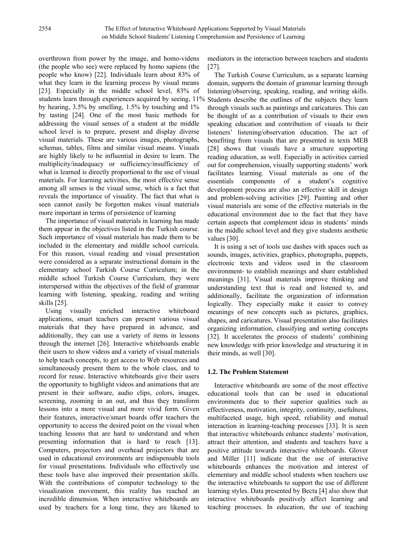overthrown from power by the image, and homo-videns (the people who see) were replaced by homo sapiens (the people who know) [22]. Individuals learn about 83% of what they learn in the learning process by visual means [23]. Especially in the middle school level, 83% of students learn through experiences acquired by seeing,  $11\%$ by hearing, 3.5% by smelling, 1.5% by touching and 1% by tasting [24]. One of the most basic methods for addressing the visual senses of a student at the middle school level is to prepare, present and display diverse visual materials. These are various images, photographs, schemas, tables, films and similar visual means. Visuals are highly likely to be influential in desire to learn. The multiplicity/inadequacy or sufficiency/insufficiency of what is learned is directly proportional to the use of visual materials. For learning activities, the most effective sense among all senses is the visual sense, which is a fact that reveals the importance of visuality. The fact that what is seen cannot easily be forgotten makes visual materials more important in terms of persistence of learning

The importance of visual materials in learning has made them appear in the objectives listed in the Turkish course. Such importance of visual materials has made them to be included in the elementary and middle school curricula. For this reason, visual reading and visual presentation were considered as a separate instructional domain in the elementary school Turkish Course Curriculum; in the middle school Turkish Course Curriculum, they were interspersed within the objectives of the field of grammar learning with listening, speaking, reading and writing skills [25].

Using visually enriched interactive whiteboard applications, smart teachers can present various visual materials that they have prepared in advance, and additionally, they can use a variety of items in lessons through the internet [26]. Interactive whiteboards enable their users to show videos and a variety of visual materials to help teach concepts, to get access to Web resources and simultaneously present them to the whole class, and to record for reuse. Interactive whiteboards give their users the opportunity to highlight videos and animations that are present in their software, audio clips, colors, images, screening, zooming in an out, and thus they transform lessons into a more visual and more vivid form. Given their features, interactive/smart boards offer teachers the opportunity to access the desired point on the visual when teaching lessons that are hard to understand and when presenting information that is hard to reach [13]. Computers, projectors and overhead projectors that are used in educational environments are indispensable tools for visual presentations. Individuals who effectively use these tools have also improved their presentation skills. With the contributions of computer technology to the visualization movement, this reality has reached an incredible dimension. When interactive whiteboards are used by teachers for a long time, they are likened to

mediators in the interaction between teachers and students [27].

The Turkish Course Curriculum, as a separate learning domain, supports the domain of grammar learning through listening/observing, speaking, reading, and writing skills. Students describe the outlines of the subjects they learn through visuals such as paintings and caricatures. This can be thought of as a contribution of visuals to their own speaking education and contribution of visuals to their listeners' listening/observation education. The act of benefiting from visuals that are presented in texts MEB [28] shows that visuals have a structure supporting reading education, as well. Especially in activities carried out for comprehension, visually supporting students' work facilitates learning. Visual materials as one of the essentials components of a student's cognitive development process are also an effective skill in design and problem-solving activities [29]. Painting and other visual materials are some of the effective materials in the educational environment due to the fact that they have certain aspects that complement ideas in students' minds in the middle school level and they give students aesthetic values [30].

It is using a set of tools use dashes with spaces such as sounds, images, activities, graphics, photographs, puppets, electronic texts and videos used in the classroom environment- to establish meanings and share established meanings [31]. Visual materials improve thinking and understanding text that is read and listened to, and additionally, facilitate the organization of information logically. They especially make it easier to convey meanings of new concepts such as pictures, graphics, shapes, and caricatures. Visual presentation also facilitates organizing information, classifying and sorting concepts [32]. It accelerates the process of students' combining new knowledge with prior knowledge and structuring it in their minds, as well [30].

#### **1.2. The Problem Statement**

Interactive whiteboards are some of the most effective educational tools that can be used in educational environments due to their superior qualities such as effectiveness, motivation, integrity, continuity, usefulness, multifaceted usage, high speed, reliability and mutual interaction in learning-teaching processes [33]. It is seen that interactive whiteboards enhance students' motivation, attract their attention, and students and teachers have a positive attitude towards interactive whiteboards. Glover and Miller [11] indicate that the use of interactive whiteboards enhances the motivation and interest of elementary and middle school students when teachers use the interactive whiteboards to support the use of different learning styles. Data presented by Becta [4] also show that interactive whiteboards positively affect learning and teaching processes. In education, the use of teaching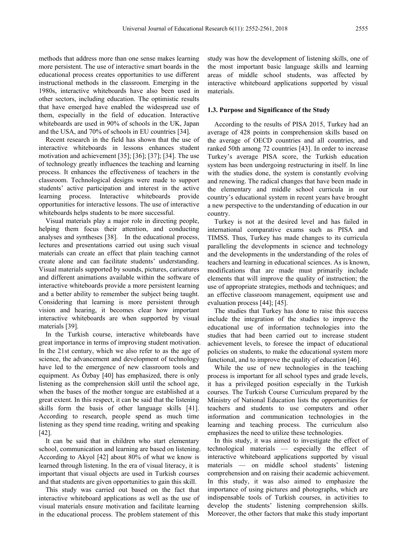methods that address more than one sense makes learning more persistent. The use of interactive smart boards in the educational process creates opportunities to use different instructional methods in the classroom. Emerging in the 1980s, interactive whiteboards have also been used in other sectors, including education. The optimistic results that have emerged have enabled the widespread use of them, especially in the field of education. Interactive whiteboards are used in 90% of schools in the UK, Japan and the USA, and 70% of schools in EU countries [34].

Recent research in the field has shown that the use of interactive whiteboards in lessons enhances student motivation and achievement [35]; [36]; [37]; [34]. The use of technology greatly influences the teaching and learning process. It enhances the effectiveness of teachers in the classroom. Technological designs were made to support students' active participation and interest in the active learning process. Interactive whiteboards provide opportunities for interactive lessons. The use of interactive whiteboards helps students to be more successful.

Visual materials play a major role in directing people, helping them focus their attention, and conducting analyses and syntheses [38]. In the educational process, lectures and presentations carried out using such visual materials can create an effect that plain teaching cannot create alone and can facilitate students' understanding. Visual materials supported by sounds, pictures, caricatures and different animations available within the software of interactive whiteboards provide a more persistent learning and a better ability to remember the subject being taught. Considering that learning is more persistent through vision and hearing, it becomes clear how important interactive whiteboards are when supported by visual materials [39].

In the Turkish course, interactive whiteboards have great importance in terms of improving student motivation. In the 21st century, which we also refer to as the age of science, the advancement and development of technology have led to the emergence of new classroom tools and equipment. As Özbay [40] has emphasized, there is only listening as the comprehension skill until the school age, when the bases of the mother tongue are established at a great extent. In this respect, it can be said that the listening skills form the basis of other language skills [41]. According to research, people spend as much time listening as they spend time reading, writing and speaking [42].

It can be said that in children who start elementary school, communication and learning are based on listening. According to Akyol [42] about 80% of what we know is learned through listening. In the era of visual literacy, it is important that visual objects are used in Turkish courses and that students are given opportunities to gain this skill.

This study was carried out based on the fact that interactive whiteboard applications as well as the use of visual materials ensure motivation and facilitate learning in the educational process. The problem statement of this

study was how the development of listening skills, one of the most important basic language skills and learning areas of middle school students, was affected by interactive whiteboard applications supported by visual materials.

#### **1.3. Purpose and Significance of the Study**

According to the results of PISA 2015, Turkey had an average of 428 points in comprehension skills based on the average of OECD countries and all countries, and ranked 50th among 72 countries [43]. In order to increase Turkey's average PISA score, the Turkish education system has been undergoing restructuring in itself. In line with the studies done, the system is constantly evolving and renewing. The radical changes that have been made in the elementary and middle school curricula in our country's educational system in recent years have brought a new perspective to the understanding of education in our country.

Turkey is not at the desired level and has failed in international comparative exams such as PISA and TIMSS. Thus, Turkey has made changes to its curricula paralleling the developments in science and technology and the developments in the understanding of the roles of teachers and learning in educational sciences. As is known, modifications that are made must primarily include elements that will improve the quality of instruction; the use of appropriate strategies, methods and techniques; and an effective classroom management, equipment use and evaluation process [44]; [45].

The studies that Turkey has done to raise this success include the integration of the studies to improve the educational use of information technologies into the studies that had been carried out to increase student achievement levels, to foresee the impact of educational policies on students, to make the educational system more functional, and to improve the quality of education [46].

While the use of new technologies in the teaching process is important for all school types and grade levels, it has a privileged position especially in the Turkish courses. The Turkish Course Curriculum prepared by the Ministry of National Education lists the opportunities for teachers and students to use computers and other information and communication technologies in the learning and teaching process. The curriculum also emphasizes the need to utilize these technologies.

In this study, it was aimed to investigate the effect of technological materials — especially the effect of interactive whiteboard applications supported by visual materials — on middle school students' listening comprehension and on raising their academic achievement. In this study, it was also aimed to emphasize the importance of using pictures and photographs, which are indispensable tools of Turkish courses, in activities to develop the students' listening comprehension skills. Moreover, the other factors that make this study important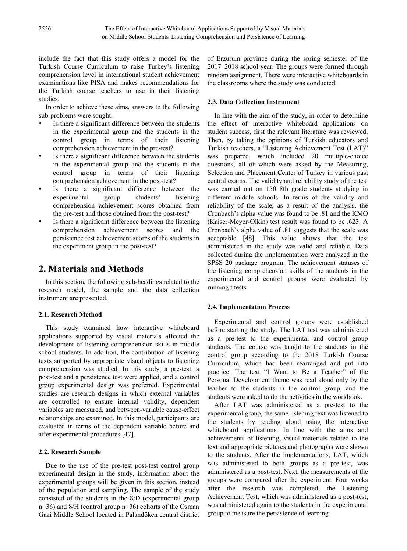include the fact that this study offers a model for the Turkish Course Curriculum to raise Turkey's listening comprehension level in international student achievement examinations like PISA and makes recommendations for the Turkish course teachers to use in their listening studies.

In order to achieve these aims, answers to the following sub-problems were sought.

- Is there a significant difference between the students in the experimental group and the students in the control group in terms of their listening comprehension achievement in the pre-test?
- Is there a significant difference between the students in the experimental group and the students in the control group in terms of their listening comprehension achievement in the post-test?
- Is there a significant difference between the experimental group students' listening experimental group students' listening comprehension achievement scores obtained from the pre-test and those obtained from the post-test?
- Is there a significant difference between the listening comprehension achievement scores and the persistence test achievement scores of the students in the experiment group in the post-test?

## **2. Materials and Methods**

In this section, the following sub-headings related to the research model, the sample and the data collection instrument are presented.

#### **2.1. Research Method**

This study examined how interactive whiteboard applications supported by visual materials affected the development of listening comprehension skills in middle school students. In addition, the contribution of listening texts supported by appropriate visual objects to listening comprehension was studied. In this study, a pre-test, a post-test and a persistence test were applied, and a control group experimental design was preferred. Experimental studies are research designs in which external variables are controlled to ensure internal validity, dependent variables are measured, and between-variable cause-effect relationships are examined. In this model, participants are evaluated in terms of the dependent variable before and after experimental procedures [47].

#### **2.2. Research Sample**

Due to the use of the pre-test post-test control group experimental design in the study, information about the experimental groups will be given in this section, instead of the population and sampling. The sample of the study consisted of the students in the 8/D (experimental group n=36) and 8/H (control group n=36) cohorts of the Osman Gazi Middle School located in Palandöken central district of Erzurum province during the spring semester of the 2017–2018 school year. The groups were formed through random assignment. There were interactive whiteboards in the classrooms where the study was conducted.

#### **2.3. Data Collection Instrument**

In line with the aim of the study, in order to determine the effect of interactive whiteboard applications on student success, first the relevant literature was reviewed. Then, by taking the opinions of Turkish educators and Turkish teachers, a "Listening Achievement Test (LAT)" was prepared, which included 20 multiple-choice questions, all of which were asked by the Measuring, Selection and Placement Center of Turkey in various past central exams. The validity and reliability study of the test was carried out on 150 8th grade students studying in different middle schools. In terms of the validity and reliability of the scale, as a result of the analysis, the Cronbach's alpha value was found to be .81 and the KMO (Kaiser-Meyer-Olkin) test result was found to be .623. A Cronbach's alpha value of .81 suggests that the scale was acceptable [48]. This value shows that the test administered in the study was valid and reliable. Data collected during the implementation were analyzed in the SPSS 20 package program. The achievement statuses of the listening comprehension skills of the students in the experimental and control groups were evaluated by running t tests.

#### **2.4. Implementation Process**

Experimental and control groups were established before starting the study. The LAT test was administered as a pre-test to the experimental and control group students. The course was taught to the students in the control group according to the 2018 Turkish Course Curriculum, which had been rearranged and put into practice. The text "I Want to Be a Teacher" of the Personal Development theme was read aloud only by the teacher to the students in the control group, and the students were asked to do the activities in the workbook.

After LAT was administered as a pre-test to the experimental group, the same listening text was listened to the students by reading aloud using the interactive whiteboard applications. In line with the aims and achievements of listening, visual materials related to the text and appropriate pictures and photographs were shown to the students. After the implementations, LAT, which was administered to both groups as a pre-test, was administered as a post-test. Next, the measurements of the groups were compared after the experiment. Four weeks after the research was completed, the Listening Achievement Test, which was administered as a post-test, was administered again to the students in the experimental group to measure the persistence of learning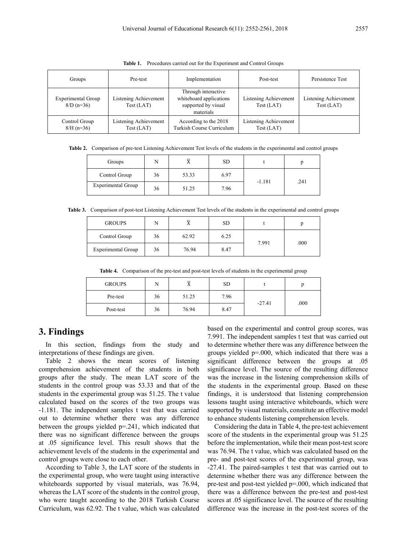| Groups                                    | Pre-test                                   | Implementation                                                                     | Post-test                                  | Persistence Test                    |
|-------------------------------------------|--------------------------------------------|------------------------------------------------------------------------------------|--------------------------------------------|-------------------------------------|
| <b>Experimental Group</b><br>$8/D (n=36)$ | <b>Listening Achievement</b><br>Test (LAT) | Through interactive<br>whiteboard applications<br>supported by visual<br>materials | <b>Listening Achievement</b><br>Test (LAT) | Listening Achievement<br>Test (LAT) |
| Control Group<br>$8/H (n=36)$             | <b>Listening Achievement</b><br>Test (LAT) | According to the 2018<br>Turkish Course Curriculum                                 | Listening Achievement<br>Test (LAT)        |                                     |

**Table 1.** Procedures carried out for the Experiment and Control Groups

**Table 2.** Comparison of pre-test Listening Achievement Test levels of the students in the experimental and control groups

| Groups             | N  | $\Lambda$ | <b>SD</b> |          |      |
|--------------------|----|-----------|-----------|----------|------|
| Control Group      | 36 | 53.33     | 6.97      |          |      |
| Experimental Group | 36 | 51.25     | 7.96      | $-1.181$ | .241 |

**Table 3.** Comparison of post-test Listening Achievement Test levels of the students in the experimental and control groups

| <b>GROUPS</b>      | N  | $\lambda$ | <b>SD</b> |       |      |
|--------------------|----|-----------|-----------|-------|------|
| Control Group      | 36 | 62.92     | 6.25      | 7.991 | .000 |
| Experimental Group | 36 | 76.94     | 8.47      |       |      |

**Table 4.** Comparison of the pre-test and post-test levels of students in the experimental group

| <b>GROUPS</b> | N  | -     | <b>SD</b> |          |      |
|---------------|----|-------|-----------|----------|------|
| Pre-test      | 36 | 51.25 | 7.96      | $-27.41$ | .000 |
| Post-test     | 36 | 76.94 | 8.47      |          |      |

### **3. Findings**

In this section, findings from the study and interpretations of these findings are given.

Table 2 shows the mean scores of listening comprehension achievement of the students in both groups after the study. The mean LAT score of the students in the control group was 53.33 and that of the students in the experimental group was 51.25. The t value calculated based on the scores of the two groups was -1.181. The independent samples t test that was carried out to determine whether there was any difference between the groups yielded p=.241, which indicated that there was no significant difference between the groups at .05 significance level. This result shows that the achievement levels of the students in the experimental and control groups were close to each other.

According to Table 3, the LAT score of the students in the experimental group, who were taught using interactive whiteboards supported by visual materials, was 76.94, whereas the LAT score of the students in the control group, who were taught according to the 2018 Turkish Course Curriculum, was 62.92. The t value, which was calculated based on the experimental and control group scores, was 7.991. The independent samples t test that was carried out to determine whether there was any difference between the groups yielded p=.000, which indicated that there was a significant difference between the groups at .05 significance level. The source of the resulting difference was the increase in the listening comprehension skills of the students in the experimental group. Based on these findings, it is understood that listening comprehension lessons taught using interactive whiteboards, which were supported by visual materials, constitute an effective model to enhance students listening comprehension levels.

Considering the data in Table 4, the pre-test achievement score of the students in the experimental group was 51.25 before the implementation, while their mean post-test score was 76.94. The t value, which was calculated based on the pre- and post-test scores of the experimental group, was -27.41. The paired-samples t test that was carried out to determine whether there was any difference between the pre-test and post-test yielded p=.000, which indicated that there was a difference between the pre-test and post-test scores at .05 significance level. The source of the resulting difference was the increase in the post-test scores of the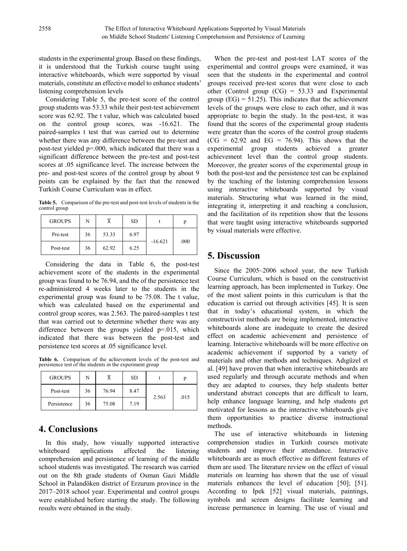students in the experimental group. Based on these findings, it is understood that the Turkish course taught using interactive whiteboards, which were supported by visual materials, constitute an effective model to enhance students' listening comprehension levels

Considering Table 5, the pre-test score of the control group students was 53.33 while their post-test achievement score was 62.92. The t value, which was calculated based on the control group scores, was -16.621. The paired-samples t test that was carried out to determine whether there was any difference between the pre-test and post-test yielded p=.000, which indicated that there was a significant difference between the pre-test and post-test scores at .05 significance level. The increase between the pre- and post-test scores of the control group by about 9 points can be explained by the fact that the renewed Turkish Course Curriculum was in effect.

**Table 5.** Comparison of the pre-test and post-test levels of students in the control group

| <b>GROUPS</b> | N  |       | <b>SD</b> |           | n    |
|---------------|----|-------|-----------|-----------|------|
| Pre-test      | 36 | 53.33 | 6.97      | $-16.621$ | .000 |
| Post-test     | 36 | 62.92 | 6.25      |           |      |

Considering the data in Table 6, the post-test achievement score of the students in the experimental group was found to be 76.94, and the of the persistence test re-administered 4 weeks later to the students in the experimental group was found to be 75.08. The t value, which was calculated based on the experimental and control group scores, was 2.563. The paired-samples t test that was carried out to determine whether there was any difference between the groups yielded p=.015, which indicated that there was between the post-test and persistence test scores at .05 significance level.

**Table 6.** Comparison of the achievement levels of the post-test and persistence test of the students in the experiment group

| <b>GROUPS</b> | N  |       | <b>SD</b> |       |      |
|---------------|----|-------|-----------|-------|------|
| Post-test     | 36 | 76.94 | 8.47      | 2.563 | .015 |
| Persistence   | 36 | 75.08 | 7.19      |       |      |

## **4. Conclusions**

In this study, how visually supported interactive whiteboard applications affected the listening comprehension and persistence of learning of the middle school students was investigated. The research was carried out on the 8th grade students of Osman Gazi Middle School in Palandöken district of Erzurum province in the 2017–2018 school year. Experimental and control groups were established before starting the study. The following results were obtained in the study.

When the pre-test and post-test LAT scores of the experimental and control groups were examined, it was seen that the students in the experimental and control groups received pre-test scores that were close to each other (Control group (CG) = 53.33 and Experimental group  $(EG) = 51.25$ . This indicates that the achievement levels of the groups were close to each other, and it was appropriate to begin the study. In the post-test, it was found that the scores of the experimental group students were greater than the scores of the control group students  $(CG = 62.92$  and  $EG = 76.94$ ). This shows that the experimental group students achieved a greater achievement level than the control group students. Moreover, the greater scores of the experimental group in both the post-test and the persistence test can be explained by the teaching of the listening comprehension lessons using interactive whiteboards supported by visual materials. Structuring what was learned in the mind, integrating it, interpreting it and reaching a conclusion, and the facilitation of its repetition show that the lessons that were taught using interactive whiteboards supported by visual materials were effective.

# **5. Discussion**

Since the 2005–2006 school year, the new Turkish Course Curriculum, which is based on the constructivist learning approach, has been implemented in Turkey. One of the most salient points in this curriculum is that the education is carried out through activities [45]. It is seen that in today's educational system, in which the constructivist methods are being implemented, interactive whiteboards alone are inadequate to create the desired effect on academic achievement and persistence of learning. Interactive whiteboards will be more effective on academic achievement if supported by a variety of materials and other methods and techniques. Adıgüzel et al. [49] have proven that when interactive whiteboards are used regularly and through accurate methods and when they are adapted to courses, they help students better understand abstract concepts that are difficult to learn, help enhance language learning, and help students get motivated for lessons as the interactive whiteboards give them opportunities to practice diverse instructional methods.

The use of interactive whiteboards in listening comprehension studies in Turkish courses motivate students and improve their attendance. Interactive whiteboards are as much effective as different features of them are used. The literature review on the effect of visual materials on learning has shown that the use of visual materials enhances the level of education [50]; [51]. According to Ipek [52] visual materials, paintings, symbols and screen designs facilitate learning and increase permanence in learning. The use of visual and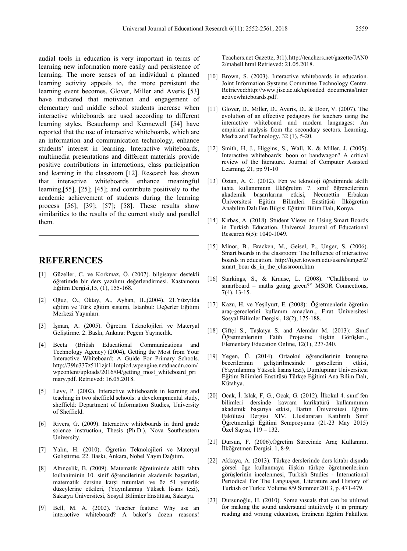audial tools in education is very important in terms of learning new information more easily and persistence of learning. The more senses of an individual a planned learning activity appeals to, the more persistent the learning event becomes. Glover, Miller and Averis [53] have indicated that motivation and engagement of elementary and middle school students increase when interactive whiteboards are used according to different learning styles. Beauchamp and Kennewell [54] have reported that the use of interactive whiteboards, which are an information and communication technology, enhance students' interest in learning. Interactive whiteboards, multimedia presentations and different materials provide positive contributions in interactions, class participation and learning in the classroom [12]. Research has shown that interactive whiteboards enhance meaningful learning,[55], [25]; [45]; and contribute positively to the academic achievement of students during the learning process [56]; [39]; [57]; [58]. These results show similarities to the results of the current study and parallel them.

## **REFERENCES**

- [1] Güzeller, C. ve Korkmaz, Ö. (2007). bilgisayar destekli öğretimde bir ders yazılımı değerlendirmesi. Kastamonu Eğitim Dergisi,15, (1), 155-168.
- [2] Oğuz, O., Oktay, A., Ayhan, H.,(2004), 21.Yüzyılda eğitim ve Türk eğitim sistemi, İstanbul: Değerler Eğitimi Merkezi Yayınları.
- [3] İşman, A. (2005). Öğretim Teknolojileri ve Materyal Geliştirme. 2. Baskı, Ankara: Pegem Yayıncılık.
- [4] Becta (British Educational Communications and Technology Agency) (2004), Getting the Most from Your Interactive Whiteboard: A Guide For Primary Schools. [http://39lu337z51l1zjr1i1ntpio4.wpengine.netdnacdn.com/](http://39lu337z51l1zjr1i1ntpio4.wpengine.netdnacdn.com/wpcontent/uploads/2016/04/getting_most_whiteboard_primary.pdf) wpcontent/uploads/2016[/04/getting\\_most\\_whiteboard\\_pri](http://39lu337z51l1zjr1i1ntpio4.wpengine.netdnacdn.com/wpcontent/uploads/2016/04/getting_most_whiteboard_primary.pdf) [mary.pdf](http://39lu337z51l1zjr1i1ntpio4.wpengine.netdnacdn.com/wpcontent/uploads/2016/04/getting_most_whiteboard_primary.pdf). Retrieved: 16.05.2018.
- [5] Levy, P. (2002). Interactive whiteboards in learning and teaching in two sheffield schools: a develompmental study, sheffield: Department of Information Studies, University of Sheffield.
- [6] Rivers, G. (2009). Interactive whiteboards in third grade science instruction, Thesis (Ph.D.), Nova Southeastern University.
- [7] Yalın, H. (2010). Öğretim Teknolojileri ve Materyal Geliştirme. 22. Baskı, Ankara, Nobel Yayın Dağıtım.
- [8] Altınçelik, B. (2009). Matematik öğretiminde akilli tahta kullaniminin 10. sinif öğrencilerinin akademik başarilari, matematik dersine karşi tutumlari ve öz 51 yeterlik düzeylerine etkileri, (Yayınlanmış Yüksek lisans tezi), Sakarya Üniversitesi, Sosyal Bilimler Enstitüsü, Sakarya.
- [9] Bell, M. A. (2002). Teacher feature: Why use an interactive whiteboard? A baker's dozen reasons!

Teachers.net Gazette, 3(1).http://teachers.net/gazette/JAN0 2/mabell.html Retrieved: 21.05.2018.

- [10] Brown, S. (2003). Interactive whiteboards in education. Joint Information Systems Committee Technology Centre. Retrieved:http://www.jisc.ac.uk/uploaded\_documents/Inter activewhiteboards.pdf.
- [11] Glover, D., Miller, D., Averis, D., & Door, V. (2007). The evolution of an effective pedagogy for teachers using the interactive whiteboard and modern languages: An empirical analysis from the secondary sectors. Learning, Media and Technology, 32 (1), 5-20.
- [12] Smith, H, J., Higgins, S., Wall, K. & Miller, J. (2005). Interactive whiteboards: boon or bandwagon? A critical review of the literature. Journal of Computer Assisted Learning, 21, pp 91-10
- [13] Öztan, A. C. (2012). Fen ve teknoloji öğretiminde akıllı tahta kullanımının İlköğretim 7. sınıf öğrencilerinin akademik basarılarına etkisi, Üniversitesi Eğitim Bilimleri Enstitüsü İlköğretim Anabilim Dalı Fen Bilgisi Eğitimi Bilim Dalı, Konya.
- [14] Kırbaş, A. (2018). Student Views on Using Smart Boards in Turkish Education, Universal Journal of Educational Research 6(5): 1040-1049.
- [15] Minor, B., Bracken, M., Geisel, P., Unger, S. (2006). Smart boards in the classroom: The Influence of interactive boards in education, http://tiger.towson.edu/users/sunger2/ smart boar ds\_in\_the\_classroom.htm
- [16] Starkings, S., & Krause, L. (2008). "Chalkboard to smartboard – maths going green?" MSOR Connections, 7(4), 13-15.
- [17] Kazu, H. ve Yeşilyurt, E. (2008): .Öğretmenlerin öğretim araç-gereçlerini kullanım amaçları., Fırat Üniversitesi Sosyal Bilimler Dergisi, 18(2), 175-188.
- [18] Çiftçi S., Taşkaya S. and Alemdar M. (2013): .Sınıf Öğretmenlerinin Fatih Projesine ilişkin Görüşleri., Elementary Education Online, 12(1), 227-240.
- [19] Yegen, Ü. (2014). Ortaokul öğrencilerinin konuşma becerilerinin geliştirilmesinde görsellerin etkisi, (Yayınlanmış Yüksek lisans tezi), Dumlupınar Üniversitesi Eğitim Bilimleri Enstitüsü Türkçe Eğitimi Ana Bilim Dalı, Kütahya.
- [20] Ocak, İ. Islak, F, G., Ocak, G. (2012). İlkokul 4. sınıf fen bilimleri dersinde kavram karikatürü kullanımının akademik başarıya etkisi, Bartın Üniversitesi Eğitim Fakültesi Dergisi XIV. Uluslararası Katılımlı Sınıf Öğretmenliği Eğitimi Sempozyumu (21-23 May 2015) Özel Sayısı, 119 – 132.
- [21] Dursun, F. (2006).Öğretim Sürecinde Araç Kullanımı. İlköğretmen Dergisi. 1, 8-9.
- [22] Akkaya, A. (2013). Türkçe derslerinde ders kitabı dışında görsel öge kullanmaya ilişkin türkçe öğretmenlerinin görüşlerinin incelenmesi, Turkish Studies - International Periodical For The Languages, Literature and History of Turkish or Turkic Volume 8/9 Summer 2013, p. 471-479.
- [23] Dursunoğlu, H. (2010). Some vısuals that can be utılızed for makıng the sound understand intuitively ıt ın prımary readıng and wrıtıng educatıon, Erzincan Eğitim Fakültesi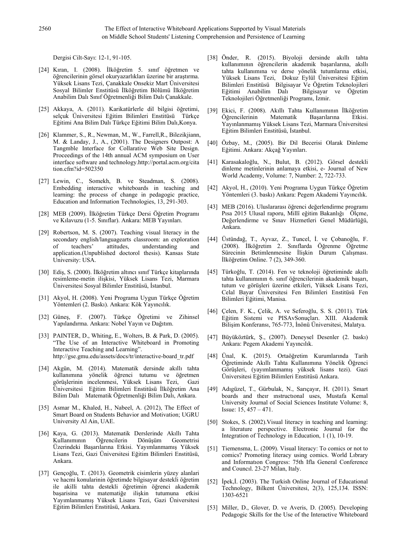Dergisi Cilt-Sayı: 12-1, 91-105.

- [24] Kıran, I. (2008). İlköğretim 5. sınıf öğretmen ve öğrencilerinin görsel okuryazarlıkları üzerine bir araştırma. Yüksek Lisans Tezi, Çanakkale Onsekiz Mart Üniversitesi Sosyal Bilimler Enstitüsü İlköğretim Bölümü İlköğretim Anabilim Dalı Sınıf Öğretmenliği Bilim Dalı Çanakkale.
- [25] Akkaya, A. (2011). Karikatürlerle dil bilgisi öğretimi, selçuk Üniversitesi Eğitim Bilimleri Enstitüsü Türkçe Eğitimi Ana Bilim Dalı Türkçe Eğitimi Bilim Dalı,Konya.
- [26] Klammer, S., R., Newman, M., W., Farrell,R., Bilezikjiann, M. & Landay, J., A., (2001). The Designers Outpost: A Tangmble Interface for Collarative Web Site Design. Proceedings of the 14th annual ACM symposium on User interface software and technology.http://portal.acm.org/cita tion.cfm?id=502350
- [27] Lewin, C., Somekh, B. ve Steadman, S. (2008). Embedding interactive whiteboards in teaching and learning: the process of change in pedagogic practice, Education and Information Technologies, 13, 291-303.
- [28] MEB (2009). İlköğretim Türkçe Dersi Öğretim Programı ve Kılavuzu (1-5. Sınıflar). Ankara: MEB Yayınları.
- [29] Robertson, M. S. (2007). Teaching visual literacy in the secondary english/languagearts classroom: an exploration<br>of teachers' attitudes, understanding and of teachers' attitudes, understanding application.(Unpublished doctorol thesis). Kansas State University: USA.
- [30] Ediş, S. (2000). İlköğretim altıncı sınıf Türkçe kitaplarında resimleme-metin ilişkisi, Yüksek Lisans Tezi, Marmara Üniversitesi Sosyal Bilimler Enstitüsü, İstanbul.
- [31] Akyol, H. (2008). Yeni Programa Uygun Türkçe Öğretim Yöntemleri (2. Baskı). Ankara: Kök Yayıncılık.
- [32] Güneş, F. (2007). Türkçe Öğretimi ve Zihinsel Yapılandırma. Ankara: Nobel Yayın ve Dağıtım.
- [33] PAINTER, D., Whiting, E., Wolters, B. & Park, D. (2005). "The Use of an Interactive Whiteboard in Promoting Interactive Teaching and Learning". http://gse.gmu.edu/assets/docs/tr/interactive-board\_tr.pdf
- [34] Akgün, M. (2014). Matematik dersinde akıllı tahta kullanımına yönelik öğrenci tutumu ve öğretmen görüşlerinin incelenmesi, Yüksek Lisans Tezi, Gazi Üniversitesi Eğitim Bilimleri Enstitüsü İlköğretim Ana Bilim Dalı Matematik Öğretmenliği Bilim Dalı, Ankara.
- [35] Asmar M., Khaled, H., Nabeel, A. (2012), The Effect of Smart Board on Students Behavior and Motivation; UGRU University Al Ain, UAE.
- [36] Kaya, G. (2013). Matematik Derslerinde Akıllı Tahta Kullanımının Öğrencilerin Dönüşüm Geometrisi Üzerindeki Başarılarına Etkisi. Yayımlanmamış Yüksek Lisans Tezi, Gazi Üniversitesi Eğitim Bilimleri Enstitüsü, Ankara.
- [37] Gençoğlu, T. (2013). Geometrik cisimlerin yüzey alanlari ve hacmi konularinin öğretimde bilgisayar destekli öğretim ile akilli tahta destekli öğretimin öğrenci akademik başarisina ve matematiğe ilişkin tutumuna etkisi Yayımlanmamış Yüksek Lisans Tezi, Gazi Üniversitesi Eğitim Bilimleri Enstitüsü, Ankara.
- [38] Önder, R. (2015). Biyoloji dersinde akıllı tahta kullanımının öğrencilerin akademik başarılarına, akıllı tahta kullanımına ve derse yönelik tutumlarına etkisi, Yüksek Lisans Tezi, Dokuz Eylül Üniversitesi Eğitim Bilimleri Enstitüsü Bilgisayar Ve Öğretim Teknolojileri Eğitimi Anabilim Dalı Teknolojileri Öğretmenliği Programı, İzmir.
- [39] Ekici, F. (2008). Akıllı Tahta Kullanımının İlköğretim Öğrencilerinin Yayınlanmamış Yüksek Lisans Tezi, Marmara Üniversitesi Eğitim Bilimleri Enstitüsü, İstanbul.
- [40] Özbay, M., (2005). Bir Dil Becerisi Olarak Dinleme Eğitimi. Ankara: Akçağ Yayınları.
- [41] Karasakaloğlu, N., Bulut, B. (2012). Görsel destekli dinleme metinlerinin anlamaya etkisi, e- Journal of New World Academy, Volume: 7, Number: 2, 722-733.
- [42] Akyol, H., (2010). Yeni Programa Uygun Türkçe Öğretim Yöntemleri (3. baskı) Ankara: Pegem Akademi Yayıncılık.
- [43] MEB (2016). Uluslararası öğrenci değerlendirme programı Pısa 2015 Ulusal raporu, Millî eğitim Bakanlığı Ölçme, Değerlendirme ve Sınav Hizmetleri Genel Müdürlüğü, Ankara.
- [44] Üstündağ, T., Ayvaz, Z., Tuncel, İ. ve Çobanoğlu, F. (2008). İlköğretim 2. Sınıflarda Öğrenme Öğretme Sürecinin Betimlenmesine İlişkin Durum Çalışması. İlköğretim Online. 7 (2), 349-360.
- [45] Türkoğlu, T. (2014). Fen ve teknoloji öğretiminde akıllı tahta kullanımının 6. sınıf öğrencilerinin akademik başarı, tutum ve görüşleri üzerine etkileri, Yüksek Lisans Tezi, Celal Bayar Üniversitesi Fen Bilimleri Enstitüsü Fen Bilimleri Eğitimi, Manisa.
- [46] Çelen, F. K., Çelik, A. ve Seferoğlu, S. S. (2011). Türk Eğitim Sistemi ve PISAvSonuçları. XIII. Akademik Bilişim Konferansı, 765-773, İnönü Üniversitesi, Malatya.
- [47] Büyüköztürk, Ş., (2007). Deneysel Desenler (2. baskı) Ankara: Pegem Akademi Yayıncılık.
- [48] Ünal, K. (2015). Ortaöğretim Kurumlarında Tarih Öğretiminde Akıllı Tahta Kullanımına Yönelik Öğrenci Görüşleri, (yayımlanmamış yüksek lisans tezi). Gazi Üniversitesi Eğitim Bilimleri Enstitüsü Ankara.
- [49] Adıgüzel, T., Gürbulak, N., Sarıçayır, H. (2011). Smart boards and theır ınstructıonal uses, Mustafa Kemal University Journal of Social Sciences Institute Volume: 8, Issue: 15, 457 – 471.
- [50] Stokes, S. (2002). Visual literacy in teaching and learning: a literature perspective. Electronic Journal for the Integration of Technology in Education, 1 (1), 10-19.
- [51] Tiemensma, L. (2009). Visual literacy: To comics or not to comics? Promoting literacy using comics. World Lıbrary and Informatıon Congress: 75th Ifla General Conference and Councıl. 23-27 Milan, Italy.
- [52] İpek,İ. (2003). The Turkish Online Journal of Educational Technology, Bilkent Üniversitesi, 2(3), 125,134. ISSN: 1303-6521
- [53] Miller, D., Glover, D. ve Averis, D. (2005). Developing Pedagogic Skills for the Use of the Interactive Whiteboard